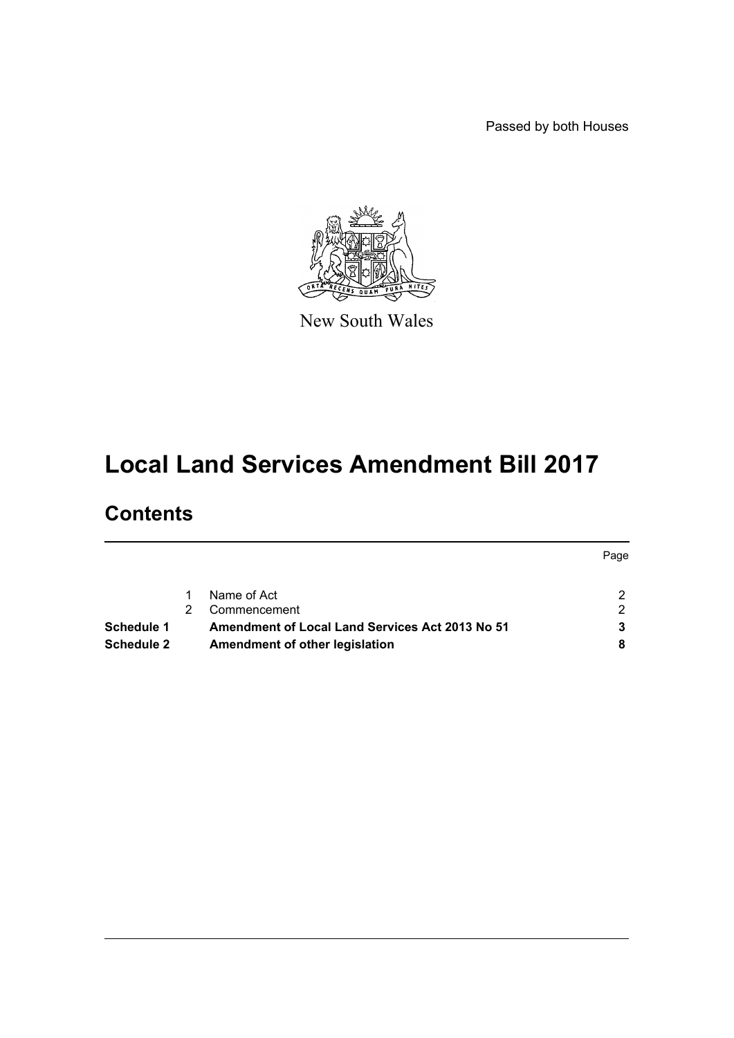Passed by both Houses



New South Wales

# **Local Land Services Amendment Bill 2017**

# **Contents**

|                   |                                                        | Page |
|-------------------|--------------------------------------------------------|------|
|                   | Name of Act                                            |      |
|                   | Commencement                                           | ົ    |
| Schedule 1        | <b>Amendment of Local Land Services Act 2013 No 51</b> |      |
| <b>Schedule 2</b> | Amendment of other legislation                         |      |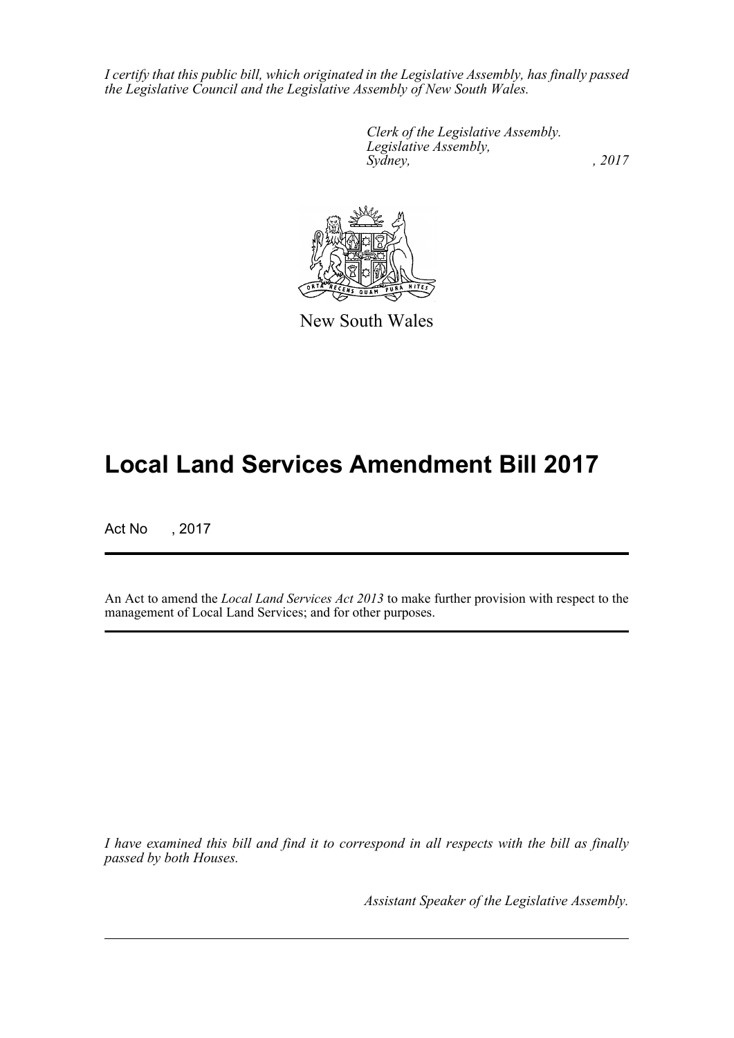*I certify that this public bill, which originated in the Legislative Assembly, has finally passed the Legislative Council and the Legislative Assembly of New South Wales.*

> *Clerk of the Legislative Assembly. Legislative Assembly, Sydney,* , 2017



New South Wales

# **Local Land Services Amendment Bill 2017**

Act No , 2017

An Act to amend the *Local Land Services Act 2013* to make further provision with respect to the management of Local Land Services; and for other purposes.

*I have examined this bill and find it to correspond in all respects with the bill as finally passed by both Houses.*

*Assistant Speaker of the Legislative Assembly.*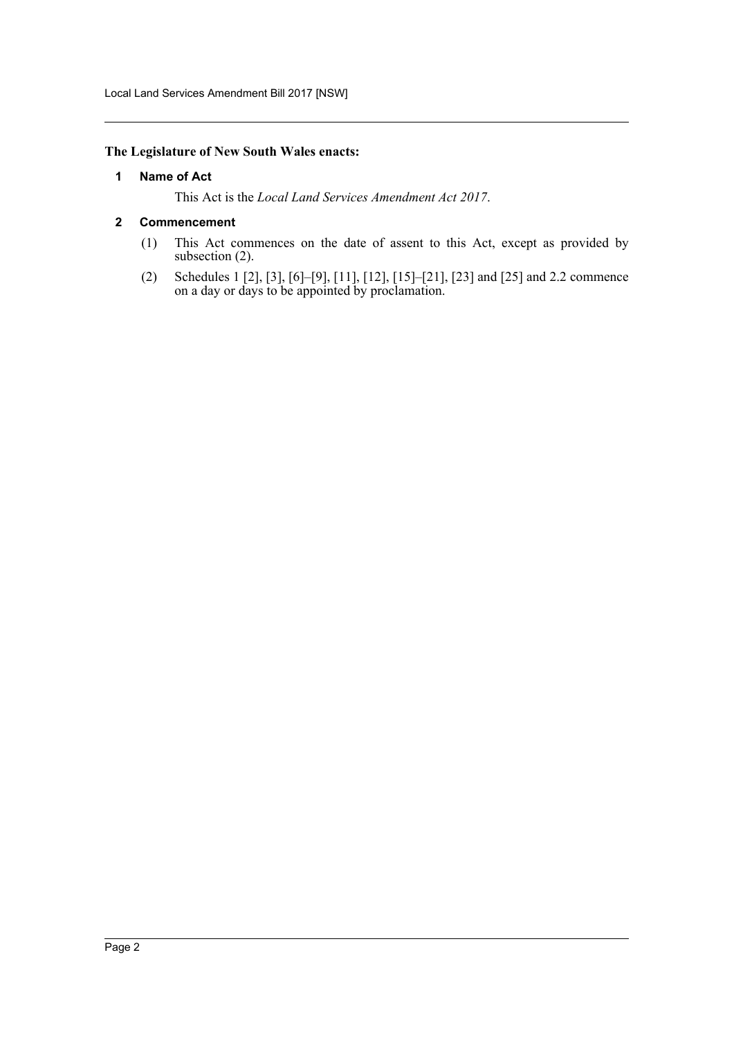# <span id="page-2-0"></span>**The Legislature of New South Wales enacts:**

#### **1 Name of Act**

This Act is the *Local Land Services Amendment Act 2017*.

#### <span id="page-2-1"></span>**2 Commencement**

- (1) This Act commences on the date of assent to this Act, except as provided by subsection (2).
- (2) Schedules 1 [2], [3], [6]–[9], [11], [12], [15]–[21], [23] and [25] and 2.2 commence on a day or days to be appointed by proclamation.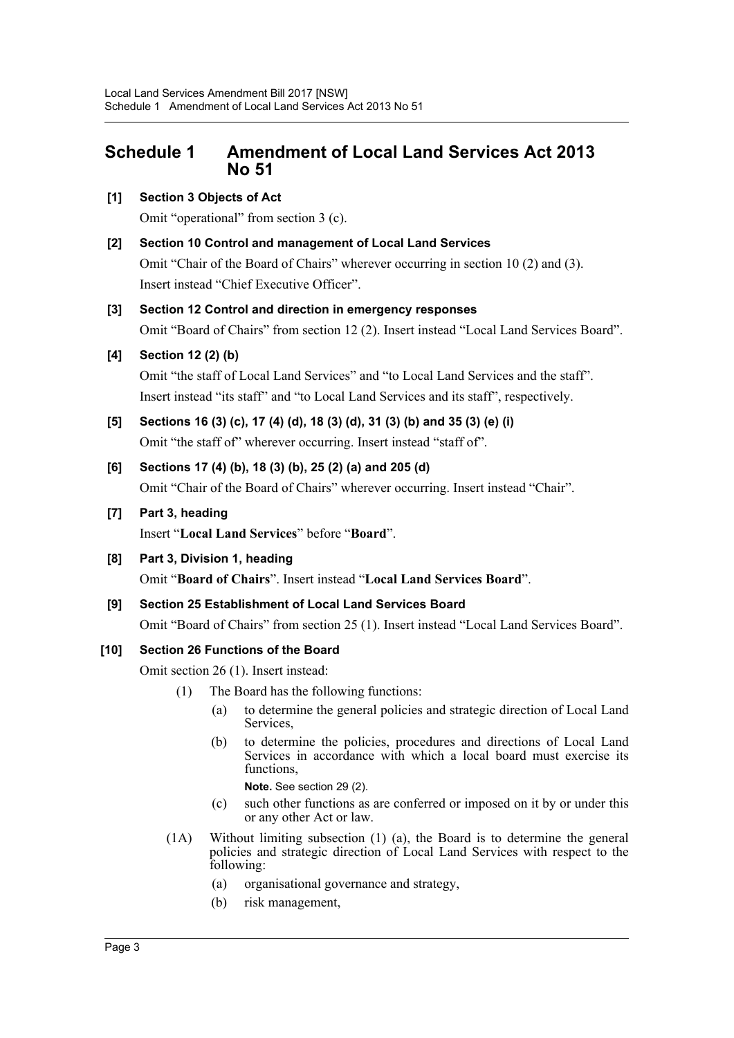# <span id="page-3-0"></span>**Schedule 1 Amendment of Local Land Services Act 2013 No 51**

# **[1] Section 3 Objects of Act**

Omit "operational" from section 3 (c).

**[2] Section 10 Control and management of Local Land Services**

Omit "Chair of the Board of Chairs" wherever occurring in section 10 (2) and (3). Insert instead "Chief Executive Officer".

# **[3] Section 12 Control and direction in emergency responses**

Omit "Board of Chairs" from section 12 (2). Insert instead "Local Land Services Board".

# **[4] Section 12 (2) (b)**

Omit "the staff of Local Land Services" and "to Local Land Services and the staff". Insert instead "its staff" and "to Local Land Services and its staff", respectively.

**[5] Sections 16 (3) (c), 17 (4) (d), 18 (3) (d), 31 (3) (b) and 35 (3) (e) (i)** Omit "the staff of" wherever occurring. Insert instead "staff of".

# **[6] Sections 17 (4) (b), 18 (3) (b), 25 (2) (a) and 205 (d)**

Omit "Chair of the Board of Chairs" wherever occurring. Insert instead "Chair".

# **[7] Part 3, heading**

Insert "**Local Land Services**" before "**Board**".

# **[8] Part 3, Division 1, heading**

Omit "**Board of Chairs**". Insert instead "**Local Land Services Board**".

**[9] Section 25 Establishment of Local Land Services Board**

Omit "Board of Chairs" from section 25 (1). Insert instead "Local Land Services Board".

# **[10] Section 26 Functions of the Board**

Omit section 26 (1). Insert instead:

- (1) The Board has the following functions:
	- (a) to determine the general policies and strategic direction of Local Land Services,
	- (b) to determine the policies, procedures and directions of Local Land Services in accordance with which a local board must exercise its functions.

**Note.** See section 29 (2).

- (c) such other functions as are conferred or imposed on it by or under this or any other Act or law.
- (1A) Without limiting subsection (1) (a), the Board is to determine the general policies and strategic direction of Local Land Services with respect to the following:
	- (a) organisational governance and strategy,
	- (b) risk management,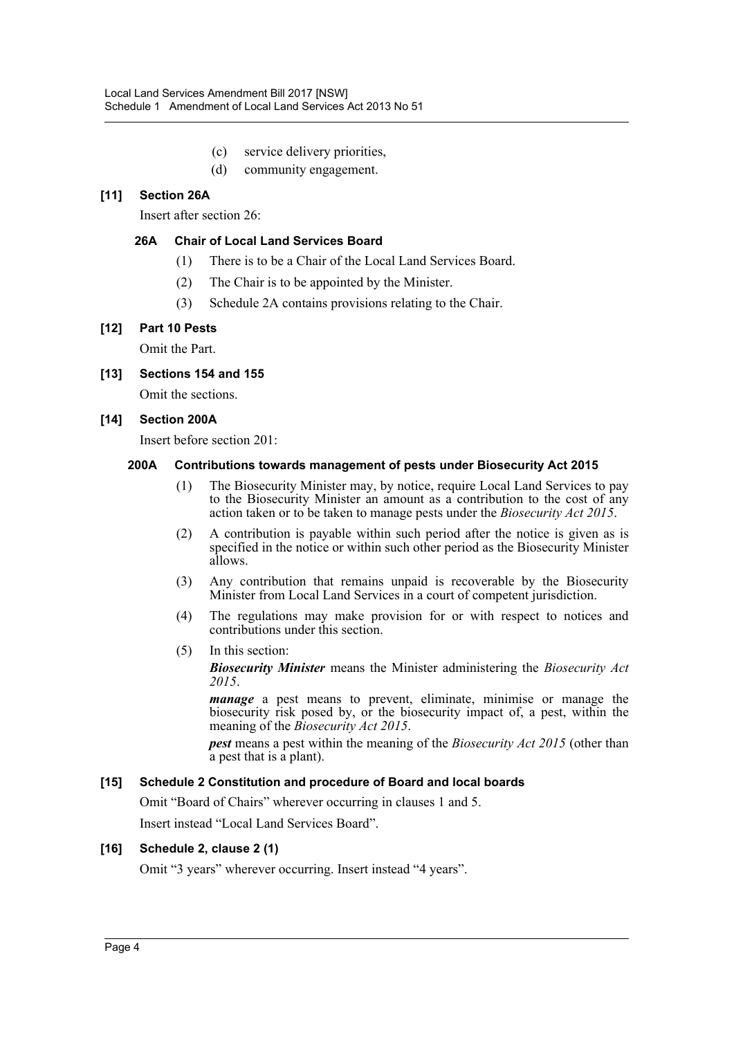- (c) service delivery priorities,
- (d) community engagement.

# **[11] Section 26A**

Insert after section 26:

### **26A Chair of Local Land Services Board**

- (1) There is to be a Chair of the Local Land Services Board.
- (2) The Chair is to be appointed by the Minister.
- (3) Schedule 2A contains provisions relating to the Chair.

#### **[12] Part 10 Pests**

Omit the Part.

#### **[13] Sections 154 and 155**

Omit the sections.

#### **[14] Section 200A**

Insert before section 201:

#### **200A Contributions towards management of pests under Biosecurity Act 2015**

- (1) The Biosecurity Minister may, by notice, require Local Land Services to pay to the Biosecurity Minister an amount as a contribution to the cost of any action taken or to be taken to manage pests under the *Biosecurity Act 2015*.
- (2) A contribution is payable within such period after the notice is given as is specified in the notice or within such other period as the Biosecurity Minister allows.
- (3) Any contribution that remains unpaid is recoverable by the Biosecurity Minister from Local Land Services in a court of competent jurisdiction.
- (4) The regulations may make provision for or with respect to notices and contributions under this section.
- (5) In this section:

*Biosecurity Minister* means the Minister administering the *Biosecurity Act 2015*.

*manage* a pest means to prevent, eliminate, minimise or manage the biosecurity risk posed by, or the biosecurity impact of, a pest, within the meaning of the *Biosecurity Act 2015*.

*pest* means a pest within the meaning of the *Biosecurity Act 2015* (other than a pest that is a plant).

#### **[15] Schedule 2 Constitution and procedure of Board and local boards**

Omit "Board of Chairs" wherever occurring in clauses 1 and 5.

Insert instead "Local Land Services Board".

#### **[16] Schedule 2, clause 2 (1)**

Omit "3 years" wherever occurring. Insert instead "4 years".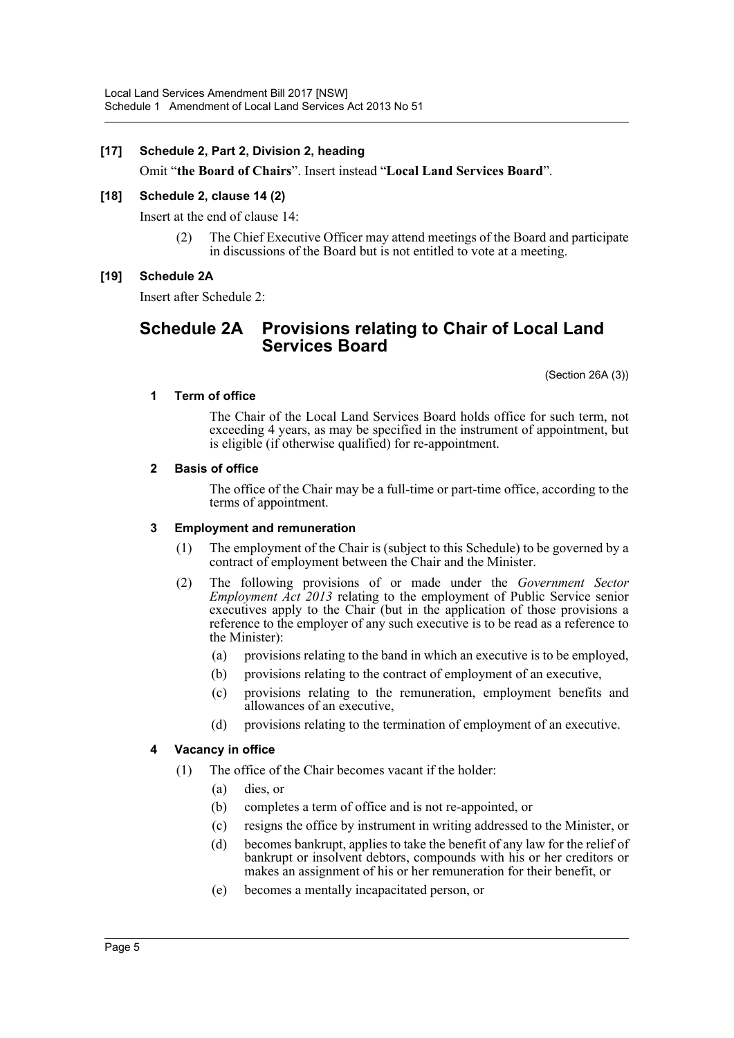#### **[17] Schedule 2, Part 2, Division 2, heading**

Omit "**the Board of Chairs**". Insert instead "**Local Land Services Board**".

#### **[18] Schedule 2, clause 14 (2)**

Insert at the end of clause 14:

(2) The Chief Executive Officer may attend meetings of the Board and participate in discussions of the Board but is not entitled to vote at a meeting.

#### **[19] Schedule 2A**

Insert after Schedule 2:

# **Schedule 2A Provisions relating to Chair of Local Land Services Board**

(Section 26A (3))

#### **1 Term of office**

The Chair of the Local Land Services Board holds office for such term, not exceeding 4 years, as may be specified in the instrument of appointment, but is eligible (if otherwise qualified) for re-appointment.

#### **2 Basis of office**

The office of the Chair may be a full-time or part-time office, according to the terms of appointment.

#### **3 Employment and remuneration**

- (1) The employment of the Chair is (subject to this Schedule) to be governed by a contract of employment between the Chair and the Minister.
- (2) The following provisions of or made under the *Government Sector Employment Act 2013* relating to the employment of Public Service senior executives apply to the Chair (but in the application of those provisions a reference to the employer of any such executive is to be read as a reference to the Minister):
	- (a) provisions relating to the band in which an executive is to be employed,
	- (b) provisions relating to the contract of employment of an executive,
	- (c) provisions relating to the remuneration, employment benefits and allowances of an executive,
	- (d) provisions relating to the termination of employment of an executive.

#### **4 Vacancy in office**

- (1) The office of the Chair becomes vacant if the holder:
	- (a) dies, or
	- (b) completes a term of office and is not re-appointed, or
	- (c) resigns the office by instrument in writing addressed to the Minister, or
	- (d) becomes bankrupt, applies to take the benefit of any law for the relief of bankrupt or insolvent debtors, compounds with his or her creditors or makes an assignment of his or her remuneration for their benefit, or
	- (e) becomes a mentally incapacitated person, or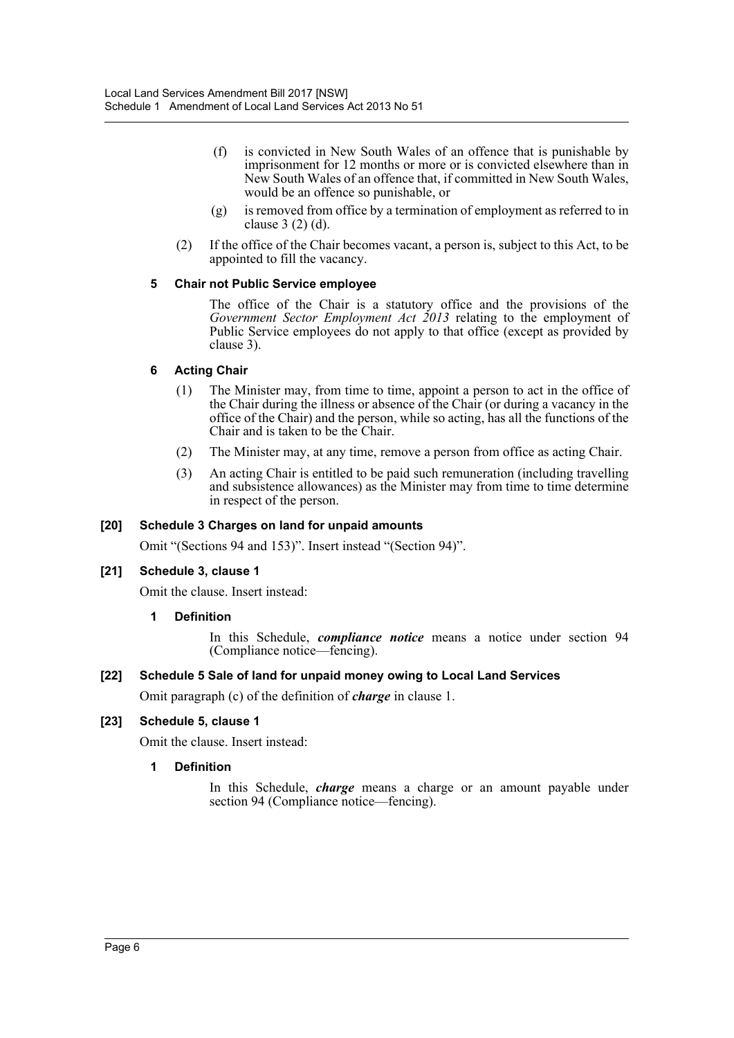- (f) is convicted in New South Wales of an offence that is punishable by imprisonment for 12 months or more or is convicted elsewhere than in New South Wales of an offence that, if committed in New South Wales, would be an offence so punishable, or
- (g) is removed from office by a termination of employment as referred to in clause 3 (2) (d).
- (2) If the office of the Chair becomes vacant, a person is, subject to this Act, to be appointed to fill the vacancy.

#### **5 Chair not Public Service employee**

The office of the Chair is a statutory office and the provisions of the *Government Sector Employment Act 2013* relating to the employment of Public Service employees do not apply to that office (except as provided by clause 3).

#### **6 Acting Chair**

- (1) The Minister may, from time to time, appoint a person to act in the office of the Chair during the illness or absence of the Chair (or during a vacancy in the office of the Chair) and the person, while so acting, has all the functions of the Chair and is taken to be the Chair.
- (2) The Minister may, at any time, remove a person from office as acting Chair.
- (3) An acting Chair is entitled to be paid such remuneration (including travelling and subsistence allowances) as the Minister may from time to time determine in respect of the person.

### **[20] Schedule 3 Charges on land for unpaid amounts**

Omit "(Sections 94 and 153)". Insert instead "(Section 94)".

# **[21] Schedule 3, clause 1**

Omit the clause. Insert instead:

#### **1 Definition**

In this Schedule, *compliance notice* means a notice under section 94 (Compliance notice—fencing).

#### **[22] Schedule 5 Sale of land for unpaid money owing to Local Land Services**

Omit paragraph (c) of the definition of *charge* in clause 1.

# **[23] Schedule 5, clause 1**

Omit the clause. Insert instead:

#### **1 Definition**

In this Schedule, *charge* means a charge or an amount payable under section 94 (Compliance notice—fencing).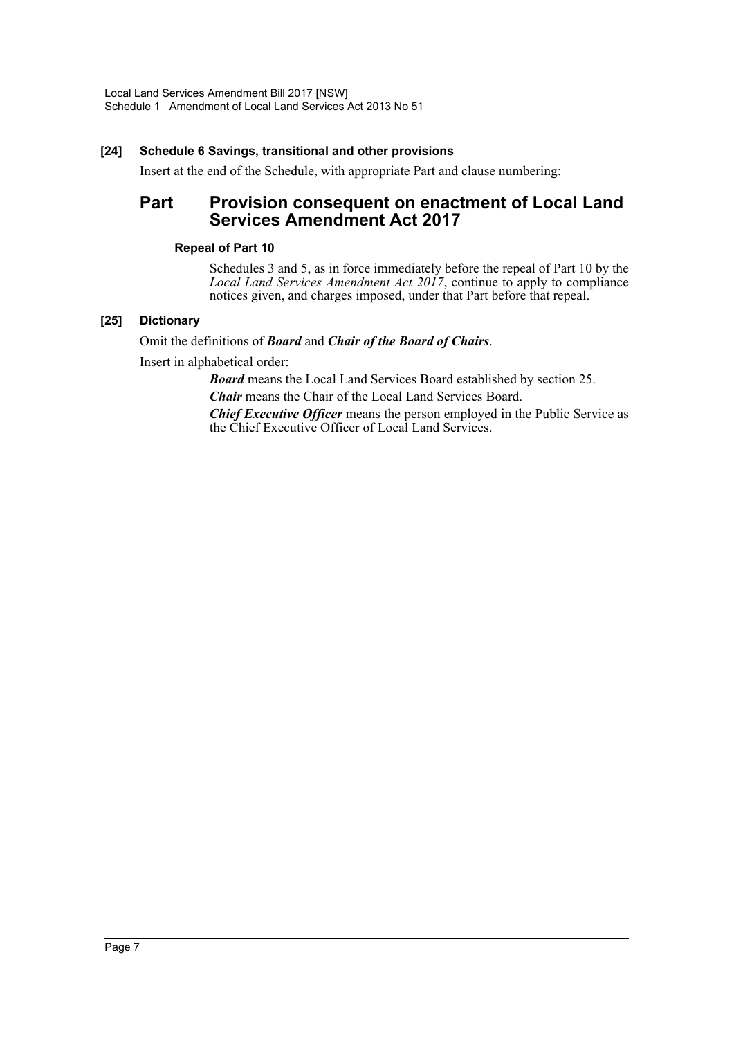# **[24] Schedule 6 Savings, transitional and other provisions**

Insert at the end of the Schedule, with appropriate Part and clause numbering:

# **Part Provision consequent on enactment of Local Land Services Amendment Act 2017**

#### **Repeal of Part 10**

Schedules 3 and 5, as in force immediately before the repeal of Part 10 by the *Local Land Services Amendment Act 2017*, continue to apply to compliance notices given, and charges imposed, under that Part before that repeal.

# **[25] Dictionary**

#### Omit the definitions of *Board* and *Chair of the Board of Chairs*.

Insert in alphabetical order:

*Board* means the Local Land Services Board established by section 25.

*Chair* means the Chair of the Local Land Services Board.

*Chief Executive Officer* means the person employed in the Public Service as the Chief Executive Officer of Local Land Services.